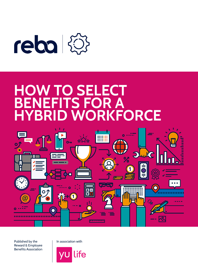

# **HOW TO SELECT<br>BENEFITS FOR A TS FOR A WORKFORCE**



Published by the Reward & Employee Benefits Association

In association with

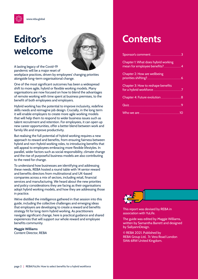

# **Editor's welcome**



A lasting legacy of the Covid-19 pandemic will be a major reset of

workplace practices, driven by employees' changing priorities alongside long-term organisational change.

One of the most significant outcomes has been a widespread shift to more agile, hybrid or flexible working models. Many organisations are now focused on how to blend the advantages of remote working with time spent at business premises, to the benefit of both employees and employers.

Hybrid working has the potential to improve inclusivity, redefine skills needs and reimagine job design. Crucially, in the long term it will enable employers to create more agile working models that will help them to respond to wider business issues such as talent recruitment and retention. For employees, it can open up new career opportunities, offer a better blend between work and family life and improve productivity.

But realising the full potential of hybrid working requires a new approach to reward and benefits, from ensuring fairness between hybrid and non-hybrid working roles, to introducing benefits that will appeal to employees embracing more flexible lifestyles. In parallel, wider factors such as social responsibility, climate change and the rise of purposeful business models are also contributing to the need for change.

To understand how businesses are identifying and addressing these needs, REBA hosted a round table with 14 senior reward and benefits directors from multinational and UK-based companies across a mix of sectors, including retail, financial services and manufacturing. We heard about the new priorities and policy considerations they are facing as their organisations adopt hybrid working models, and how they are addressing those in practice.

We've distilled the intelligence gathered in that session into this guide, including the collective challenges and emerging ideas that employers are developing to create a reward and benefits strategy fit for long-term hybrid working. As practitioners navigate significant change, here is practical guidance and shared experiences that will support our whole reward and employee benefits community.

**Maggie Williams** Content Director, REBA

### **Contents**

| Chapter 1: What does hybrid working                                                                                                                                                                                                  |  |
|--------------------------------------------------------------------------------------------------------------------------------------------------------------------------------------------------------------------------------------|--|
| Chapter 2: How are wellbeing<br>priorities shifting? <sup>2</sup> 2008 2009 2014 2020 2021 2021 2022 2023 2024 2022 2022 2023                                                                                                        |  |
| Chapter 3: How to reshape benefits                                                                                                                                                                                                   |  |
|                                                                                                                                                                                                                                      |  |
| <u>Quiz 9 September 1994 September 1994 September 1994 September 1994 September 1994 September 1996 September 19</u>                                                                                                                 |  |
| Who we are <b>with the contract of the contract of the contract of the contract of the contract of the contract of the contract of the contract of the contract of the contract of the contract of the contract of the contract </b> |  |



This report was devised by REBA in association with YuLife.

The guide was edited by Maggie Williams, written by Samantha Barrett and designed by SallyannDesign.

© REBA 2021. Published by REBA Group Ltd, 7c Vera Road London SW6 6RW United Kingdom.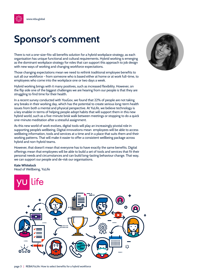<span id="page-2-0"></span>

## **Sponsor's comment**

There is not a one-size-fits-all benefits solution for a hybrid workplace strategy, as each organisation has unique functional and cultural requirements. Hybrid working is emerging as the dominant workplace strategy for roles that can support this approach to job design with new ways of working and changing workforce expectations.

Those changing expectations mean we need to rethink traditional employee benefits to suit all our workforce - from someone who is based either at home or at work full-time, to employees who come into the workplace one or two days a week.

Hybrid working brings with it many positives, such as increased flexibility. However, on the flip side one of the biggest challenges we are hearing from our people is that they are struggling to find time for their health.

In a recent survey conducted with YouGov, we found that 22% of people are not taking any breaks in their working day, which has the potential to create serious long-term health issues from both a mental and physical perspective. At YuLife, we believe technology is a key enabler in terms of helping people adopt habits that will support them in this new hybrid world, such as a five-minute brisk walk between meetings or stopping to do a quick one-minute meditation after a stressful assignment.

As this new world of work evolves, digital tools will play an increasingly pivotal role in supporting people's wellbeing. Digital innovations mean employees will be able to access wellbeing information, tools and services at a time and in a place that suits them and their working patterns. That will make it easier to offer a consistent wellbeing package across hybrid and non-hybrid teams.

However, that doesn't mean that everyone has to have exactly the same benefits. Digital offerings mean that employees will be able to build a set of tools and services that fit their personal needs and circumstances and can build long-lasting behaviour change. That way, we can support our people and de-risk our organisations.

#### **Kate Whitelock**

Head of Wellbeing, YuLife



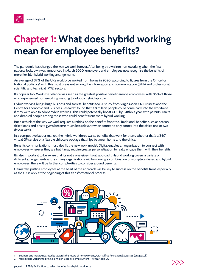<span id="page-3-0"></span>

The pandemic has changed the way we work forever. After being thrown into homeworking when the first national lockdown was announced in March 2020, employers and employees now recognise the benefits of more flexible, hybrid working arrangements.

An average of 37% of the UK's workforce worked from home in 2020, according to figures from the Office for National Statistics<sup>1</sup>, with this most prevalent among the information and communication (81%) and professional, scientific and technical (71%) sectors.

It's popular too. Work-life balance was seen as the greatest positive benefit among employees, with 85% of those who experienced homeworking wanting to adopt a hybrid approach.

Hybrid working brings huge business and societal benefits too. A study from Virgin Media O2 Business and the Centre for Economic and Business Research<sup>2</sup> found that 3.8 million people could come back into the workforce if they were able to adopt hybrid working. This could potentially boost GDP by £48bn a year, with parents, carers and disabled people among those who could benefit from more hybrid working.

But a rethink of the way we work requires a rethink on the benefits front too. Traditional benefits such as season ticket loans and onsite gyms become much less relevant when someone only comes into the office one or two days a week.

In a competitive labour market, the hybrid workforce wants benefits that work for them, whether that's a 24/7 virtual GP service or a flexible childcare package that flips between home and the office.

Benefits communications must also fit the new work model. Digital enables an organisation to connect with employees wherever they are but it may require greater personalisation to really engage them with their benefits.

It's also important to be aware that it's not a one-size-fits-all approach. Hybrid working covers a variety of different arrangements and, as many organisations will be running a combination of workplace-based and hybrid employees, there will be further complexities to consider around benefits.

Ultimately, putting employees at the heart of the approach will be key to success on the benefits front, especially as the UK is only at the beginning of this transformational process.



[Business and individual attitudes towards the future of homeworking, UK - Office for National Statistics \(ons.gov.uk\)](https://www.ons.gov.uk/employmentandlabourmarket/peopleinwork/employmentandemployeetypes/articles/businessandindividualattitudestowardsthefutureofhomeworkinguk/apriltomay2021)

<sup>2</sup> [More hybrid working to bring 3.8 million Brits into employment - Virgin Media O2](https://news.virginmediao2.co.uk/more-hybrid-working-to-bring-3-8-million-brits-into-employment/)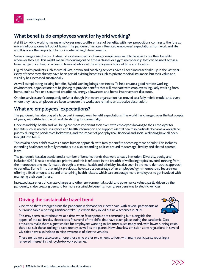### **What benefits do employees want for hybrid working?**

A shift to hybrid working means employees need a different set of benefits, with new propositions coming to the fore as more traditional ones fall out of favour. The pandemic has also influenced employees' expectations from work and life, and this is another important factor in determining future benefits.

Some changes are obvious. Instead of location-specific offerings, employees want to be able to use their benefits wherever they are. This might mean introducing online fitness classes or a gym membership that can be used across a broad range of centres, or access to financial advice at the employee's choice of time and location.

Digital health products such as virtual GPs, physio and coaching services have all seen increased take-up in the last year. Many of these may already have been part of existing benefits such as private medical insurance, but their value and visibility has increased substantially.

As well as replicating existing benefits, hybrid working brings new needs. To help create a good remote working environment, organisations are beginning to provide benefits that will resonate with employees regularly working from home, such as free or discounted broadband, energy allowances and home improvement discounts.

On-site services aren't completely defunct though. Not every organisation has moved to a fully hybrid model and, even where they have, employers are keen to ensure the workplace remains an attractive destination.

#### **What are employees' expectations?**

The pandemic has also played a large part in employees' benefit expectations. The world has changed over the last couple of years, with attitudes to work and life shifting fundamentally.

Understandably, health and wellbeing are more important than ever, with employees looking to their employer for benefits such as medical insurance and health information and support. Mental health in particular became a workplace priority during the pandemic's lockdowns, and the impact of poor physical, financial and social wellbeing have all been brought into focus.

There's also been a shift towards a more human approach, with family benefits becoming more popular. This includes extending healthcare to family members but also expanding policies around miscarriage, fertility and shared parental leave.

The pandemic has also accelerated a number of benefits trends that were already in motion. Diversity, equity and inclusion (DEI) is now a workplace priority, and this is reflected in the breadth of wellbeing topics covered, running from the menopause and men's health, through to mental health and ethnicity. It's also seen in the more democratic approach to benefits. Some firms that might previously have paid a percentage of an employees' gym membership fee are now offering a fixed amount to spend on anything health related, which can encourage more employees to get involved with managing their own fitness.

Increased awareness of climate change and other environmental, social and governance values, partly driven by the pandemic, is also creating demand for more sustainable benefits, from green pensions to electric vehicles.

#### **Driving the sustainable travel trend**

One trend that's emerged from the pandemic is demand for electric cars, with several participants at our round table reporting significant take-ups when they rolled out new schemes in 2021.



This may seem counterintuitive at a time when fewer people are commuting but, alongside the appeal of the tax breaks, electric cars fit several of the shifts that have taken place during the pandemic. Zero emissions make them a great choice for employees wanting to live more sustainably and, with lower running costs, they also suit those looking to save money as well as the planet. New ultra-low emission zone regulations in several UK cities have also helped to raise awareness of electric vehicles.

These trends were also seen among those who prefer two wheels to four, with many participants reporting a renewed interest in their cycle-to-work schemes.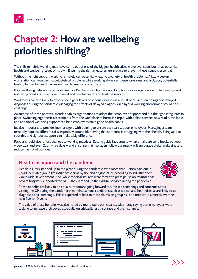# <span id="page-5-0"></span>**Chapter 2: How are wellbeing priorities shifting?**

The shift to hybrid working may have come out of one of the biggest health crises we've ever seen, but it has potential health and wellbeing issues of its own. Ensuring the right measures are in place to prevent these issues is essential.

Without the right support, working remotely can potentially lead to a variety of health problems. A badly set-up workstation can result in musculoskeletal problems while working alone can cause loneliness and isolation, potentially leading to mental health issues such as depression and anxiety.

Poor wellbeing behaviours can also creep in. Bad habits such as working long hours, overdependence on technology and not taking breaks can fuel poor physical and mental health and lead to burnout.

Workforces are also likely to experience higher levels of serious illnesses as a result of missed screenings and delayed diagnoses during the pandemic. Managing the effects of delayed diagnosis in a hybrid working environment could be a challenge.

Awareness of these potential trends enables organisations to adapt their employee support and put the right safeguards in place. Switching ergonomic assessments from the workplace to home is simple, with online services now readily available, and additional wellbeing support can help employees build good health habits.

It's also important to provide line managers with training to ensure they can support employees. Managing a team remotely requires different skills, especially around identifying that someone is struggling with their health. Being able to spot this and signpost support can make a big difference.

Policies should also reflect changes to working practices. Setting guidelines around when emails are sent, breaks between video calls and even Zoom-free days – and ensuring that managers follow the rules – will encourage digital wellbeing and reduce the risk of burnout.

#### **Health insurance and the pandemic**

Health insurers stepped up to the plate during the pandemic, with more than £218m paid out in Covid-19 related group life insurance claims by the end of June 2021, according to industry body Group Risk Development. And, while medical insurers were forced to press pause on treatment as private hospitals supported the NHS, they ramped up their digital services during the pandemic.



These benefits are likely to be equally important going forward too. Missed screenings and concerns about visiting the GP during the pandemic mean that serious conditions such as cancer and heart disease are likely to be diagnosed at a later stage. This is expected to lead to more claims on group risk and medical insurances over the next five to 10 years.

The value of these benefits was also noted by round table participants, with many saying that employees were looking to increase their cover, especially on critical illness insurance and life insurance.

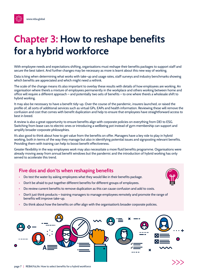# <span id="page-6-0"></span>**Chapter 3: How to reshape benefits for a hybrid workforce**

With employee needs and expectations shifting, organisations must reshape their benefits packages to support staff and secure the best talent. And further changes may be necessary as more is learnt about this new way of working.

Data is king when determining what works with take-up and usage rates, staff surveys and industry benchmarks showing which benefits are appreciated and which might need a rethink.

The scale of the change means it's also important to overlay these results with details of how employees are working. An organisation where there's a mixture of employees permanently in the workplace and others working between home and office will require a different approach – and potentially two sets of benefits – to one where there's a wholesale shift to hybrid working.

It may also be necessary to have a benefit tidy-up. Over the course of the pandemic, insurers launched, or raised the profile of, all sorts of additional services such as virtual GPs, EAPs and health information. Reviewing these will remove the confusion and cost that comes with benefit duplication and help to ensure that employees have straightforward access to best in breed.

A review is also a great opportunity to ensure benefits align with corporate policies on everything from DEI to ESG. Switching from lease cars to electric ones or introducing a wellbeing pot instead of gym membership can support and amplify broader corporate philosophies.

It's also good to think about how to get value from the benefits on offer. Managers have a key role to play in hybrid working, both in terms of the way they manage but also in identifying potential issues and signposting relevant benefits. Providing them with training can help to boost benefit effectiveness.

Greater flexibility in the way employees work may also necessitate a more fluid benefits programme. Organisations were already moving away from annual benefit windows but the pandemic and the introduction of hybrid working has only served to accelerate this trend.

#### **Five dos and don'ts when reshaping benefits**

- **•** Do test the water by asking employees what they would like in their benefits package.
- **•** Don't be afraid to put together different benefits for different groups of employees.
- **•** Do review current benefits to remove duplication as this can cause confusion and add to costs.
- Don't just think products training managers to manage employees remotely and promote the range of benefits will improve take-up.
- **•** Do think about how the benefits on offer align with the organisation's broader corporate policies.

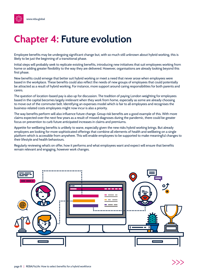<span id="page-7-0"></span>

# **Chapter 4: Future evolution**

Employee benefits may be undergoing significant change but, with so much still unknown about hybrid working, this is likely to be just the beginning of a transitional phase.

Initial steps will probably seek to replicate existing benefits, introducing new initiatives that suit employees working from home or adding greater flexibility to the way they are delivered. However, organisations are already looking beyond this first phase.

New benefits could emerge that better suit hybrid working or meet a need that never arose when employees were based in the workplace. These benefits could also reflect the needs of new groups of employees that could potentially be attracted as a result of hybrid working. For instance, more support around caring responsibilities for both parents and carers.

The question of location-based pay is also up for discussion. The tradition of paying London weighting for employees based in the capital becomes largely irrelevant when they work from home, especially as some are already choosing to move out of the commuter belt. Identifying an expenses model which is fair to all employees and recognises the business-related costs employees might now incur is also a priority.

The way benefits perform will also influence future change. Group risk benefits are a good example of this. With more claims expected over the next few years as a result of missed diagnoses during the pandemic, there could be greater focus on prevention to curb future anticipated increases in claims and premiums.

Appetite for wellbeing benefits is unlikely to wane, especially given the new risks hybrid working brings. But already employers are looking for more sophisticated offerings that combine all elements of health and wellbeing on a single platform which is accessible from anywhere. This will enable employees to be supported to make meaningful changes to their lifestyle and health behaviours.

Regularly reviewing what's on offer, how it performs and what employees want and expect will ensure that benefits remain relevant and engaging, however work changes.

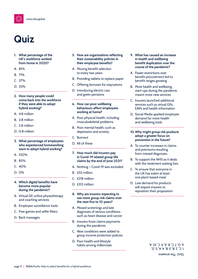<span id="page-8-0"></span>

## **Quiz**

- **1. What percentage of the UK's workforce worked from home in 2020?**
- A. 81%
- B. 71%
- C. 37%
- D. 35%
- **2. How many people could come back into the workforce if they were able to adopt hybrid working?**
- A. 4.8 million
- B. 3.8 million
- C. 2.8 million
- D. 0.8 million
- **3. What percentage of employees who experienced homeworking want to adopt hybrid working?**
- A. 100%
- B. 85%
- C. 40%
- D. 0%
- **4. Which digital benefits have become more popular during the pandemic?**
- A. Virtual GP, online physiotherapy and coaching services
- B. Employee surveillance tools
- C. Free games and selfie filters
- D. Back massages
- **5. How are organisations reflecting their sustainability policies in their employee benefits?**
- A. Moving benefit selection to every two years
- B. Providing tablets to replace paper
- C. Offering bonuses for staycations
- D. Introducing electric cars and green pensions
- **6. How can poor wellbeing behaviours affect employees working at home?**
- A. Poor physical health, including musculoskeletal problems
- B. Poor mental health, such as depression and anxiety
- C. Burnout
- D. All of these
- **7. How much did insurers pay in Covid-19 related group life claims by the end of June 2021?**
- A. Nothing Covid-19 was excluded
- B. £55 million
- C. £218 million
- D. £312 million
- **8. Why are insurers expecting to see more group risk claims over the next five to 10 years?**
- A. Missed screenings and late diagnoses of serious conditions such as heart disease and cancer
- B. Insurers froze claims payments during the pandemic
- C. New conditions were added to group income protection policies
- D. Poor health and lifestyle habits among millennials
- **9. What has caused an increase in health and wellbeing benefit duplication over the course of the pandemic?**
- A. Fewer restrictions over benefit procurement led to benefit ranges growing
- B. More health and wellbeing start-ups during the pandemic meant more new services
- C. Insurers launched additional services such as virtual GPs, EAPs and health information
- D. Social Media sparked employee demand for more health and wellbeing tools
- **10. Why might group risk products adopt a greater focus on prevention in the future?**
- A. To counter increases in claims and premiums resulting from missed diagnoses
- B. To support the NHS as it deals with the treatment waiting lists
- C. To ensure that everyone in the UK has eaten at least one plant-based meal
- D. Low demand for products will require insurers to reposition their proposition

Quiz: The answers  $1. C, 2. B, 3. B, 4. A, 5. D,$ 6. D, 7. C, 8. A, 9. C, 10. A.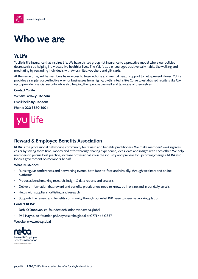<span id="page-9-0"></span>

### **Who we are**

### **YuLife**

YuLife is life insurance that inspires life. We have shifted group risk insurance to a proactive model where our policies decrease risk by helping individuals live healthier lives. The YuLife app encourages positive daily habits like walking and meditating by rewarding individuals with Avios miles, vouchers and gift cards.

At the same time, YuLife members have access to telemedicine and mental health support to help prevent illness. YuLife provides a simple, cost-effective way for businesses from high-growth fintechs like Curve to established retailers like Coop to provide financial security while also helping their people live well and take care of themselves.

#### **Contact YuLife:**

Website: **www.yulife.com** 

Email: **hello@yulife.com**

Phone: **020 3870 2604** 



#### **Reward & Employee Benefits Association**

REBA is the professional networking community for reward and benefits practitioners. We make members' working lives easier by saving them time, money and effort through sharing experience, ideas, data and insight with each other. We help members to pursue best practice, increase professionalism in the industry and prepare for upcoming changes. REBA also lobbies government on members' behalf.

#### **What REBA does:**

- Runs regular conferences and networking events, both face-to-face and virtually, through webinars and online platforms
- Produces benchmarking research, insight & data reports and analysis
- Delivers information that reward and benefits practitioners need to know, both online and in our daily emails
- Helps with supplier shortlisting and research
- Supports the reward and benefits community through our rebaLINK peer-to-peer networking platform.

#### **Contact REBA:**

- **Debi O'Donovan**, co-founder: debi.odonovan@reba.global
- **Phil Hayne**, co-founder: phil.hayne:@reba.global or 0771 466 0857

#### Website: **www.reba.global**

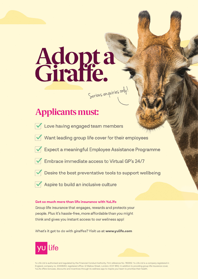# **Adopta**<br>Giraffe. Serious enquiries only!

### **Applicants must:**

- 
- Love having engaged team members
- Want leading group life cover for their employees
- Expect a meaningful Employee Assistance Programme
- 
- Embrace immediate access to Virtual GP's 24/7
- 
- Desire the best preventative tools to support wellbeing
- Aspire to build an inclusive culture

#### Get so much more than life insurance with YuLife

Group life insurance that engages, rewards and protects your people. Plus it's hassle-free, more affordable than you might think and gives you instant access to our wellness app!

What's it got to do with giraffes? Visit us at www.yulife.com



Yu Life Ltd is authorised and regulated by the Financial Conduct Authority. Firm reference No. 783352. Yu Life Ltd is a company registered in England, company no. 10308260, registered office: 12 Mallow Street, London, EC1Y 8RQ. In addition to providing group life insurance cover, YuLife offers bonuses, discounts and incentives through its wellness app to inspire your team to prioritise their health.